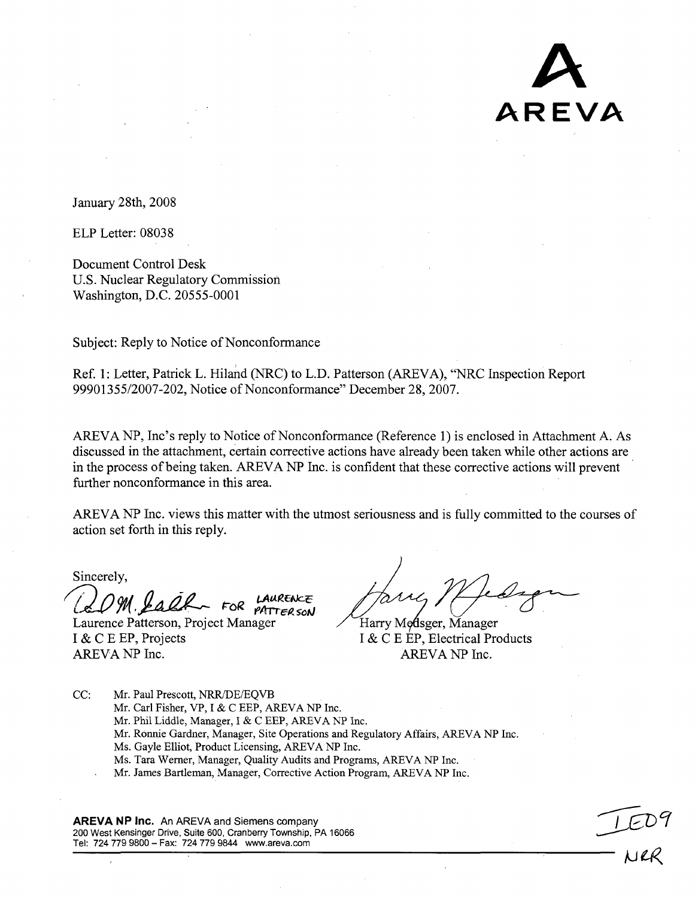**A** AREVA

January 28th, 2008

ELP Letter: 08038

Document Control Desk U.S. Nuclear Regulatory Commission Washington, D.C. 20555-0001

Subject: Reply to Notice of Nonconformance

Ref. 1: Letter, Patrick L. Hiland (NRC) to L.D. Patterson (AREVA), "NRC Inspection Report 99901355/2007-202, Notice of Nonconformance" December 28, 2007.

AREVA NP, Inc's reply to Notice of Nonconformance (Reference 1) is enclosed in Attachment A. As discussed in the attachment, certain corrective actions have already been taken while other actions are in the process of being taken. AREVA NP Inc. is confident that these corrective actions will prevent further nonconformance in this area.

AREVA NP Inc. views this matter with the utmost seriousness and is fully committed to the courses of action set forth in this reply.

Sincerely,

M. Salf FOR PATTER SON

Laurence Patterson, Project Manager Harry Modsger, Manager I & C E EP, Projects I & C E EP, Electrical Products AREVA NP Inc. AREVA NP Inc.

 $\sim$   $\sim$ 

CC: Mr. Paul Prescott, NRR/DE/EQVB Mr. Carl Fisher, VP, I & C EEP, AREVA NP Inc. Mr. Phil Liddle, Manager, I & C EEP, AREVA NP Inc. Mr. Ronnie Gardner, Manager, Site Operations and Regulatory Affairs, AREVA NP Inc. Ms. Gayle Elliot, Product Licensing, AREVA NP Inc. Ms. Tara Werner, Manager, Quality Audits and Programs, AREVA NP Inc. Mr. James Bartleman, Manager, Corrective Action Program, AREVA NP Inc.

AREVA NP Inc. An AREVA and Siemens company 200 West Kensinger Drive, Suite 600, Cranberry Township, PA 16066 Tel: 724 779 9800 - Fax: 724 779 9844 www.areva.com k ijecter is a state of the state of the state of the state of the state of the state of the state of the state of the state of the state of the state of the state of the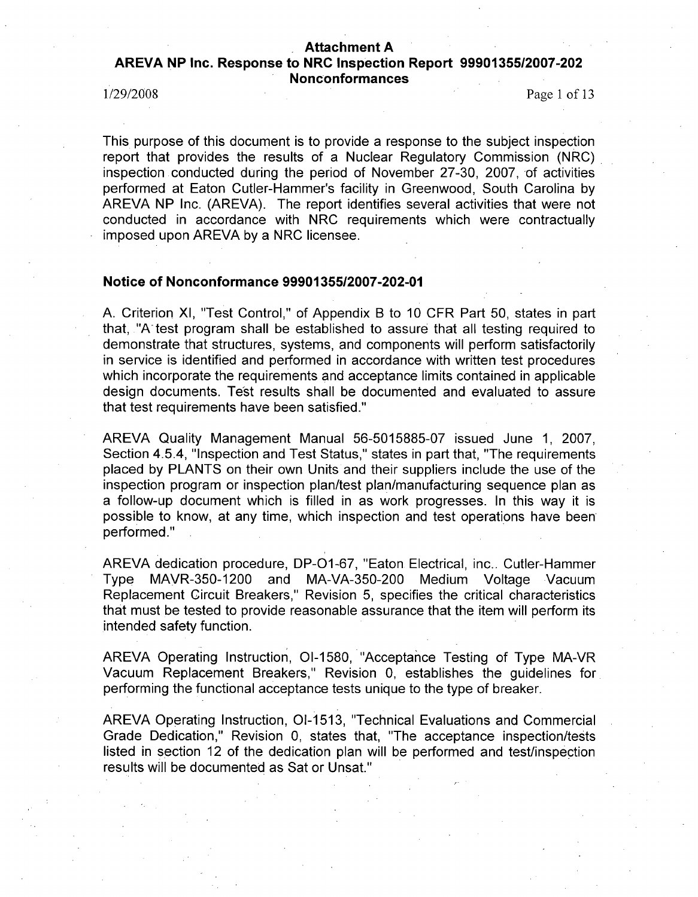# Attachment **A** AREVA **NP** Inc. Response to NRC Inspection Report **99901355/2007-202** Nonconformances

1/29/2008 Page 1 of 13

This purpose of this document is to provide a response to the subject inspection report that provides the results of a Nuclear Regulatory Commission (NRC) inspection conducted during the period of November 27-30, 2007, of activities performed at Eaton Cutler-Hammer's facility in Greenwood, South Carolina by AREVA NP Inc. (AREVA). The report identifies several activities that were not conducted in accordance with NRC requirements which were contractually imposed upon AREVA by a NRC licensee.

### Notice of Nonconformance **99901355/2007-202-01**

A. Criterion XI, "Test Control," of Appendix B to 10 CFR Part 50, states in part that, "A-test program shall be established to assure that all testing required to demonstrate that structures, systems, and components will perform satisfactorily in service is identified and performed in accordance with written test procedures which incorporate the requirements and acceptance limits contained in applicable design documents. Test results shall be documented and evaluated to assure that test requirements have been satisfied."

AREVA Quality Management Manual 56-5015885-07 issued June 1, 2007, Section 4.5.4, "Inspection and Test Status," states in part that, "The requirements placed by PLANTS on their own Units and their suppliers include the use of the inspection program or inspection plan/test plan/manufacturing sequence plan as a follow-up document which is filled in as work progresses. In this way it is possible to know, at any time, which inspection and test operations have been performed."

AREVA dedication procedure, DP-O1-67, "Eaton Electrical, inc.. Cutler-Hammer Type MAVR-350-1200 and MA-VA-350-200 Medium Voltage Vacuum Replacement Circuit Breakers," Revision 5, specifies the critical characteristics that must be tested to provide reasonable assurance that the item will perform its intended safety function.

AREVA Operating Instruction, 01-1580, "Acceptance Testing of Type MA-VR Vacuum Replacement Breakers," Revision 0, establishes the guidelines for performing the functional acceptance tests unique to the type of breaker.

AREVA Operating Instruction, 01-1513, "Technical Evaluations and Commercial Grade Dedication," Revision 0, states that, "The acceptance inspection/tests listed in section 12 of the dedication plan will be performed and test/inspection results will be documented as Sat or Unsat."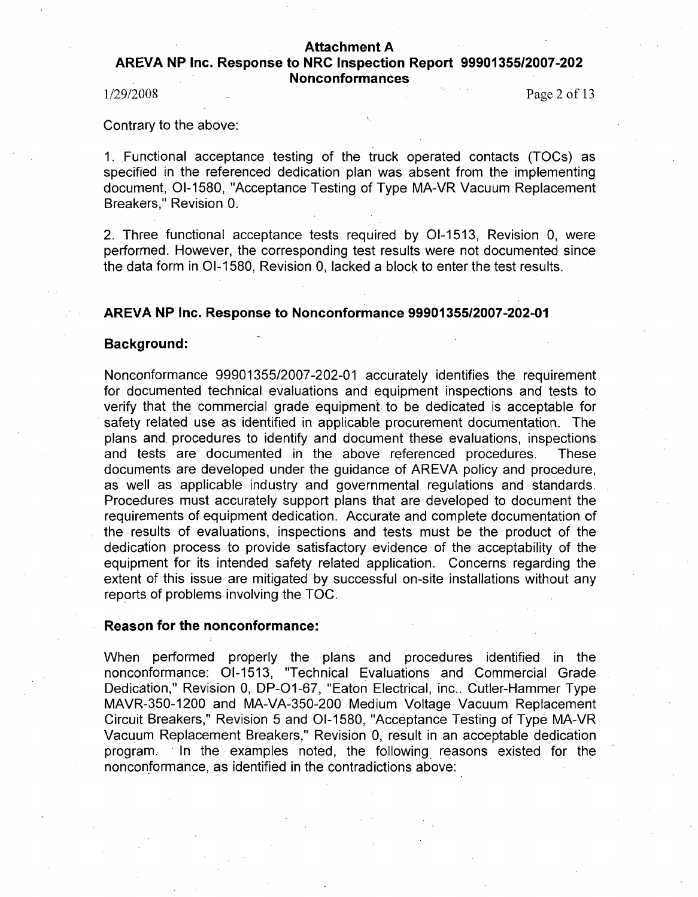# AREVA **NP** Inc. Response to NRC Inspection Report **99901355/2007-202** Nonconformances

1/29/2008 Page 2 of **13**

Contrary to the above:

1. Functional acceptance testing of the truck operated contacts (TOCs) as specified in the referenced dedication plan was absent from the implementing document, 01-1580, "Acceptance Testing of Type MA-VR Vacuum Replacement Breakers," Revision 0.

2. Three functional acceptance tests required by 01-1513, Revision 0, were performed. However, the corresponding test results were not documented since the data form in 01-1580, Revision 0, lacked a block to enter the test results.

# AREVA **NP** Inc. Response to Nonconformance **99901355/2007-202-01**

### Background:

Nonconformance 99901355/2007-202-01 accurately identifies the requirement for documented technical evaluations and equipment inspections and tests to verify that the commercial grade equipment. to be dedicated is acceptable for safety related use as identified in applicable procurement documentation. The plans and. procedures to identify and document these evaluations, inspections and tests are documented in the above referenced procedures. These documents are developed under the guidance of AREVA policy and procedure, as well as applicable industry and governmental regulations and standards. Procedures must accurately support plans that are developed to document the requirements of equipment dedication. Accurate and complete documentation of the results of evaluations, inspections and tests must be the product of the dedication process to provide satisfactory evidence of the acceptability of the equipment for its intended safety related application. Concerns regarding the extent of this issue are mitigated by successful on-site installations without any reports of problems involving the TOC.

## Reason for the nonconformance:

When performed properly the plans and procedures identified in the nonconformance: 01-1513, "Technical Evaluations and Commercial Grade Dedication," Revision 0, DP-01-67, "Eaton Electrical, inc.. Cutler-Hammer Type MAVR-350-1200 and MA-VA-350-200 Medium Voltage Vacuum Replacement Circuit Breakers," Revision 5 and 01-1580, "Acceptance Testing of Type MA-VR Vacuum Replacement Breakers," Revision 0, result in an acceptable dedication program. In the examples noted, the following. reasons existed for the nonconformance, as identified in the contradictions above: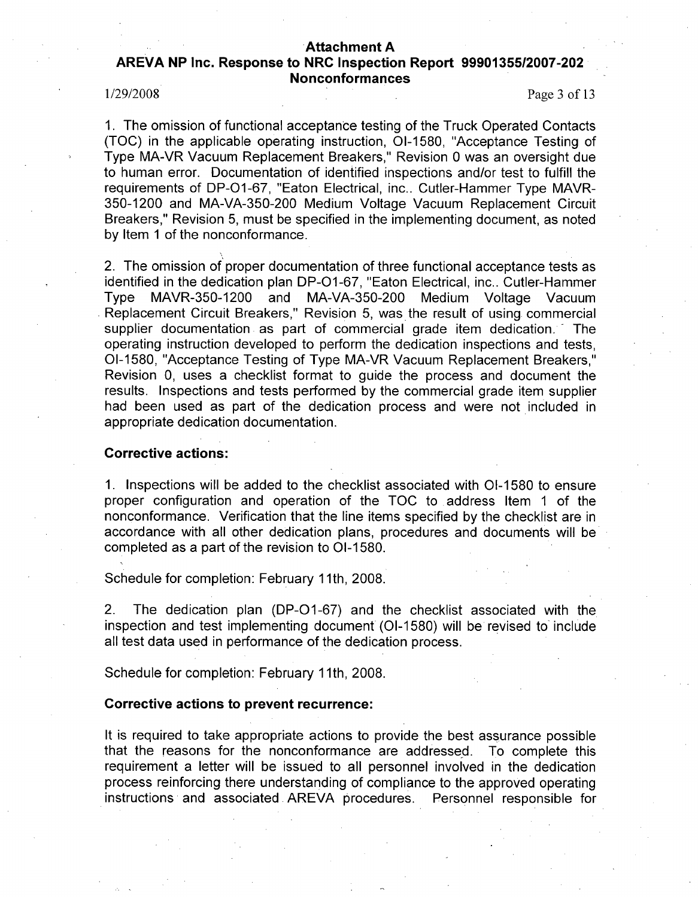# AREVA **NP** Inc. Response to NRC Inspection Report **99901355/2007-202** Nonconformances

1/29/2008 Page 3 of 13

1. The omission of functional acceptance testing of the Truck Operated Contacts (TOC) in the applicable operating instruction, 01-1580, "Acceptance Testing of Type MA-VR Vacuum Replacement Breakers," Revision 0 was an oversight due to human error. Documentation of identified inspections and/or test to fulfill the requirements of DP-O1-67, "Eaton Electrical, inc.. Cutler-Hammer Type MAVR-350-1200 and MA-VA-350-200 Medium Voltage Vacuum Replacement Circuit Breakers," Revision 5, must be specified in the implementing document, as noted by Item 1 of the nonconformance.

2. The omission of proper documentation of three functional acceptance tests as identified in the dedication plan DP-O1-67, "Eaton Electrical, inc.. Cutler-Hammer Type MAVR-350-1200 and MA-VA-350-200 Medium Voltage Vacuum Replacement Circuit Breakers," Revision 5, was the result of using commercial supplier documentation as part of commercial grade item dedication. The operating instruction developed to perform the dedication inspections and tests, 01-1580, "Acceptance Testing of Type MA-VR Vacuum Replacement Breakers," Revision 0, uses a checklist format to guide the process and document the results. Inspections and tests performed by the commercial grade item supplier had been used as part of the dedication process and were not included in appropriate dedication documentation.

## Corrective actions:

1. Inspections will be added to the checklist associated with 01-1580 to ensure proper configuration and operation of the **TOC** to address Item 1 of the nonconformance. Verification that the line items specified by the checklist are in accordance with all other dedication plans, procedures and documents will be completed as a part of the revision to 01-1580.

Schedule for completion: February **11** th, 2008.

2. The dedication plan (DP-O1-67) and the checklist associated with the inspection and test implementing document (01-1580) will be revised to include all test data used in performance of the dedication process.

Schedule for completion: February **11** th, 2008.

#### Corrective actions to prevent recurrence:

It is required to take appropriate actions to provide the best assurance possible that the reasons for the nonconformance are addressed. To complete this requirement a letter will be issued to all personnel involved in the dedication process reinforcing there understanding of compliance to the approved operating instructions and associated AREVA procedures. Personnel responsible for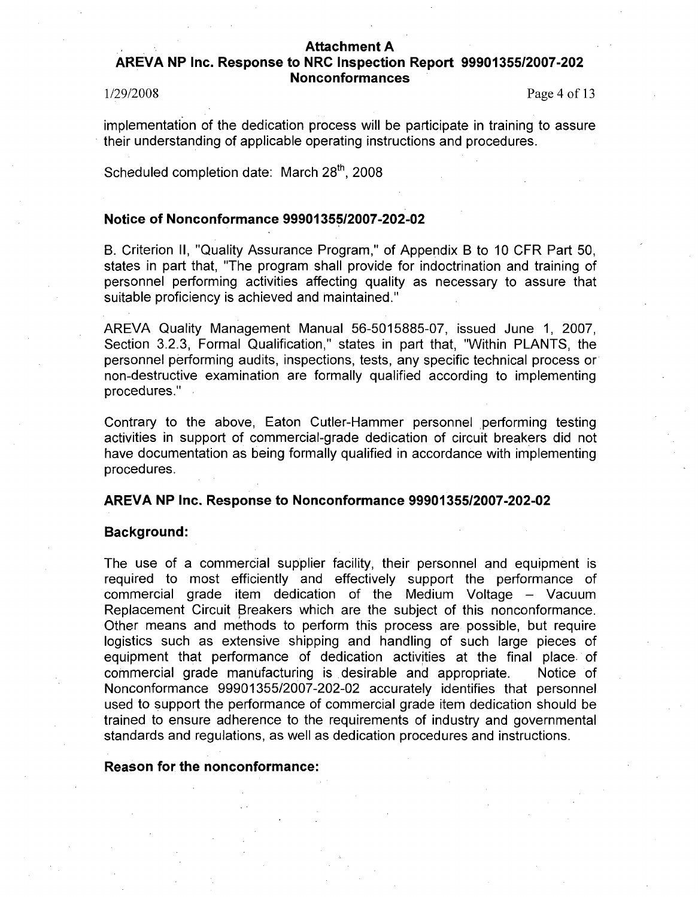# AREVA **NP** Inc. Response to NRC Inspection Report **99901355/2007-202** Nonconformances

1/29/2008 Page 4 of **13**

implementation of the dedication process will be participate in training to assure their understanding of applicable operating instructions and procedures.

Scheduled completion date: March 28<sup>th</sup>, 2008

# Notice of Nonconformance **99901355/2007-202-02**

B. Criterion II, "Quality Assurance Program," of Appendix B to 10 CFR Part 50, states in part that, "The program shall provide for indoctrination and training of personnel performing activities affecting quality as necessary to assure that suitable proficiency is achieved and maintained."

AREVA Quality Management Manual 56-5015885-07, issued June 1, 2007, Section 3.2.3, Formal Qualification," states in part that, "Within PLANTS, the personnel performing audits, inspections, tests, any specific technical process or non-destructive examination are formally qualified according to implementing procedures."

Contrary to the above, Eaton Cutler-Hammer personnel performing testing activities in support of commercial-grade dedication of circuit breakers did not have documentation as being formally qualified in accordance with implementing procedures.

## AREVA **NP** Inc. Response to Nonconformance **99901355/2007-202-02**

### Background:

The use of a commercial supplier facility, their personnel and equipment is required to most efficiently and effectively support the performance of commercial grade item dedication of the Medium Voltage - Vacuum Replacement Circuit Breakers which are the subject of this nonconformance. Other means and methods to perform this process are possible, but require logistics such as extensive shipping and handling of such large pieces of equipment that performance of dedication activities at the final place. of commercial grade manufacturing is desirable and appropriate. Notice of Nonconformance 99901355/2007-202-02 accurately identifies that personnel used to support the performance of commercial grade item dedication should be trained to ensure adherence to the requirements of industry and governmental standards and regulations, as well as dedication procedures and instructions.

#### Reason for the nonconformance: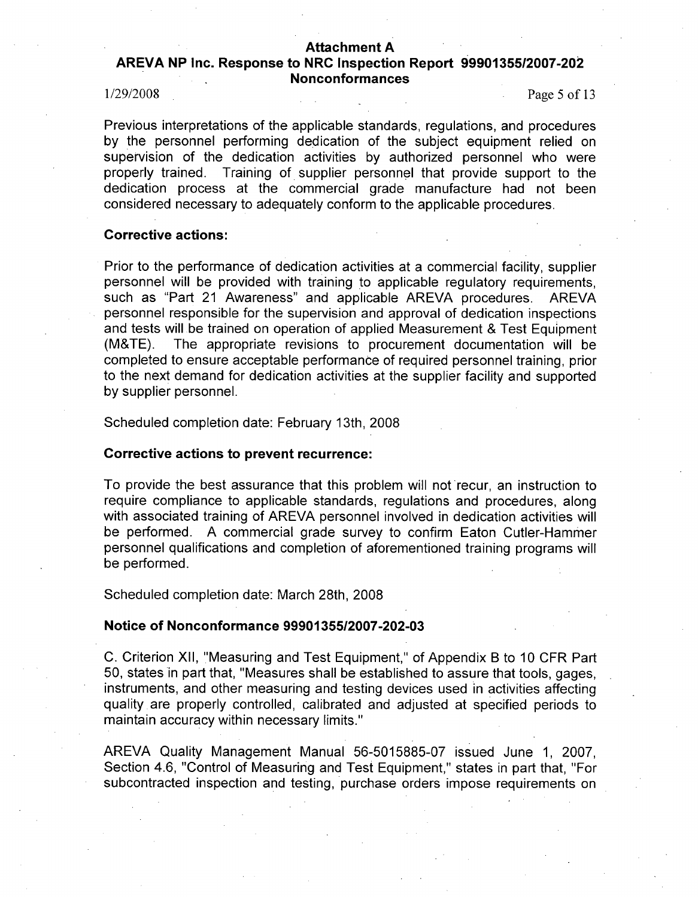# AREVA **NP** Inc. Response to NRC Inspection Report **99901355/2007-202** Nonconformances

1/29/2008 Page 5 of 13

Previous interpretations of the applicable standards, regulations, and procedures by the personnel performing dedication of the subject equipment relied on supervision of the dedication activities by authorized personnel who were properly trained. Training of supplier personnel that provide support to the dedication process at the commercial grade manufacture had not been considered necessary to adequately conform to the applicable procedures.

## Corrective actions:

Prior to the performance of dedication activities at a commercial facility, supplier personnel will be provided with training to applicable regulatory requirements, such as "Part 21 Awareness" and applicable AREVA procedures. AREVA personnel responsible for the supervision and approval of dedication inspections and tests will be trained on operation of applied Measurement & Test Equipment (M&TE). The appropriate revisions to procurement documentation will be completed to ensure acceptable performance of required personnel training, prior to the next demand for dedication activities at the supplier facility and supported by supplier personnel.

Scheduled completion date: February 13th, 2008

## Corrective actions to prevent recurrence:

To provide the best assurance that this problem will not recur, an instruction to require compliance to applicable standards, regulations and procedures, along with associated training of AREVA personnel involved in dedication activities will be performed. A commercial grade survey to confirm Eaton Cutler-Hammer personnel qualifications and completion of aforementioned training programs will be performed.

Scheduled completion date: March 28th, 2008

# Notice of Nonconformance **99901355/2007-202-03**

C. Criterion XII, "Measuring and Test Equipment," of Appendix B to 10 CFR Part 50, states in part that, "Measures shall be established to assure that tools, gages, instruments, and other measuring and testing devices used in activities affecting quality are properly controlled, calibrated and adjusted at specified periods to maintain accuracy within necessary limits."

AREVA Quality Management Manual 56-5015885-07 issued June 1, 2007, Section 4.6, "Control of Measuring and Test Equipment," states in part that, "For subcontracted inspection and testing, purchase orders impose requirements on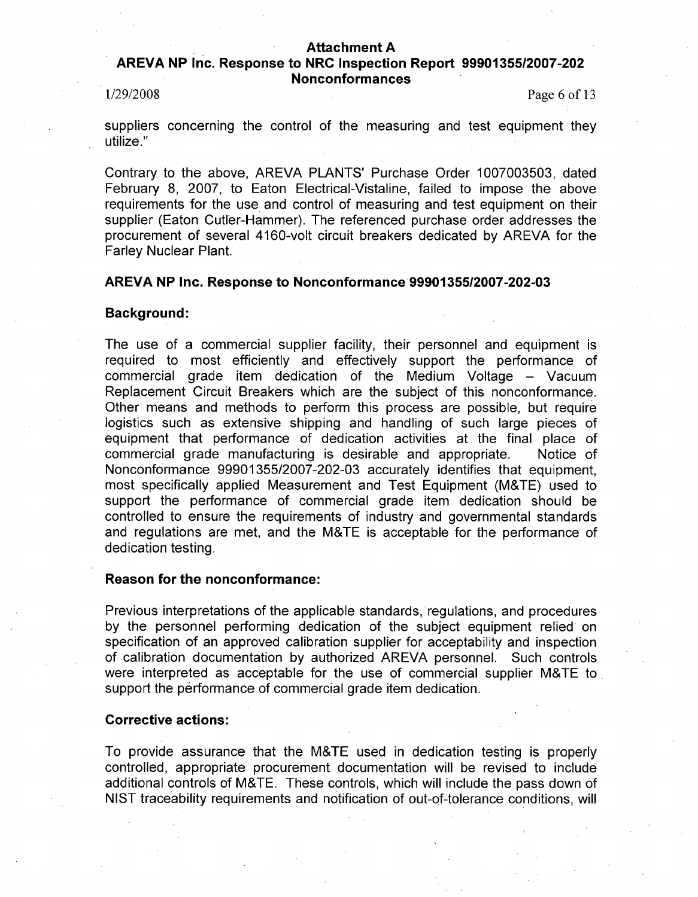# AREVA **NP** Inc. Response to NRC Inspection Report **99901355/2007-202** Nonconformances

1/29/2008 Page 6 of 13

suppliers concerning the control of the measuring and test equipment they utilize."

Contrary to the above, AREVA PLANTS' Purchase Order 1007003503, dated February 8, 2007, to Eaton Electrical-Vistaline, failed to impose the above requirements for the use and control of measuring and test equipment on their supplier (Eaton Cutler-Hammer). The referenced purchase order addresses the procurement of several 4160-volt circuit breakers dedicated by AREVA for the Farley Nuclear Plant.

### AREVA **NP** Inc. Response to Nonconformance **9990135512007-202-03**

#### Background:

The use of a commercial supplier facility, their personnel and equipment is required to most efficiently and effectively support the performance of commercial grade item dedication of the Medium Voltage - Vacuum Replacement Circuit Breakers which are the subject of this nonconformance. Other means and methods to perform this process are possible, but require logistics such as extensive shipping and handling of such large pieces of equipment that performance of dedication activities at the final place of commercial grade manufacturing is desirable and appropriate. Notice of Nonconformance 99901355/2007-202-03 accurately identifies that equipment, most specifically applied Measurement and Test Equipment (M&TE) used to support the performance of commercial grade item dedication should be controlled to ensure the requirements of industry and governmental standards and regulations are met, and the M&TE is acceptable for the performance of dedication testing.

## Reason for the nonconformance:

Previous interpretations of the applicable standards, regulations, and procedures by the personnel performing dedication of the subject equipment relied on specification of an approved calibration supplier for acceptability and inspection of calibration documentation by authorized AREVA personnel. Such controls were interpreted as acceptable for the use of commercial supplier M&TE to support the performance of commercial grade item dedication.

## Corrective actions:

To provide assurance that the M&TE used in dedication testing is properly controlled, appropriate procurement documentation will be revised to include additional controls of M&TE. These controls, which will include the pass down of NIST traceability requirements and notification of out-of-tolerance conditions, will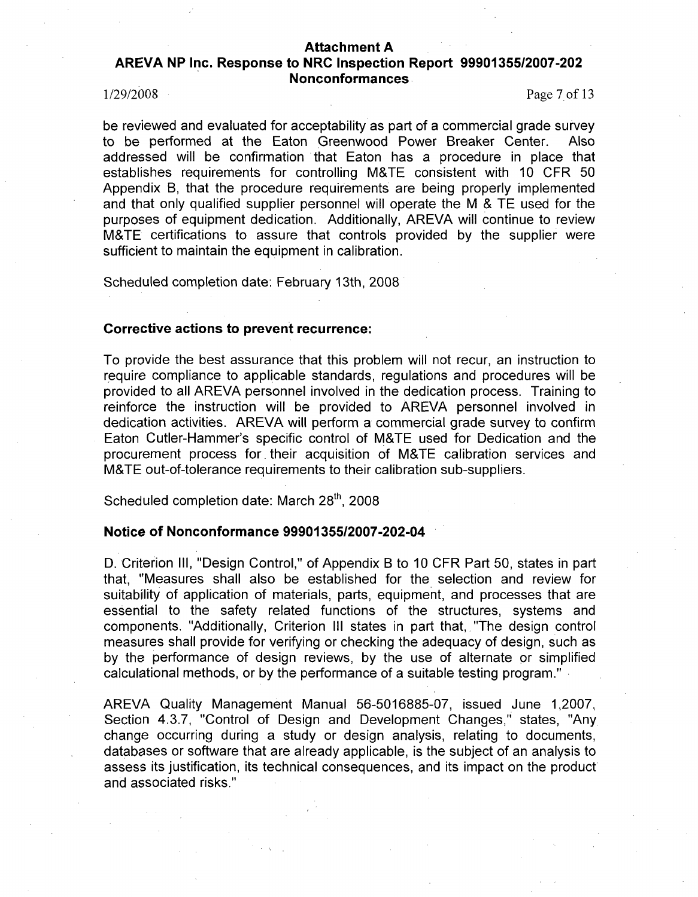# AREVA **NP** Inc. Response to NRC Inspection Report **99901355/2007-202** Nonconformances

1/29/2008 Page 7 of **13**

be reviewed and evaluated for acceptability as part of a commercial grade survey to be performed at the Eaton Greenwood Power Breaker Center. Also addressed will be confirmation that Eaton has a procedure in place that establishes requirements for controlling M&TE consistent with 10 CFR 50 Appendix B, that the procedure requirements are being properly implemented and that only qualified supplier personnel will operate the M & TE used for the purposes of equipment dedication. Additionally, AREVA will continue to review M&TE certifications to assure that controls provided by the supplier were sufficient to maintain the equipment in calibration.

Scheduled completion date: February 13th, 2008

## Corrective actions to prevent recurrence:

To provide the best assurance that this problem will not recur, an instruction to require compliance to applicable standards, regulations and procedures will be provided to all AREVA personnel involved in the dedication process. Training to reinforce the instruction will be provided to AREVA personnel involved in dedication activities. AREVA will perform a commercial grade survey to confirm Eaton Cutler-Hammer's specific control of M&TE used for Dedication and the procurement process for, their acquisition of M&TE calibration services and M&TE out-of-tolerance requirements to their calibration sub-suppliers.

Scheduled completion date: March 28<sup>th</sup>, 2008

# Notice of Nonconformance **9990135512007-202-04**

D. Criterion **III,** "Design Control," of Appendix B to 10 CFR Part 50, states in part that, "Measures shall also be established for the selection and review for suitability of application of materials, parts, equipment, and processes that are essential to the safety related functions of the structures, systems and components. "Additionally, Criterion **III** states in part that, "The design control measures shall provide for verifying or checking the adequacy of design, such as by the performance of design reviews, by the use of alternate or simplified calculational methods, or by the performance of a suitable testing program."

AREVA Quality Management Manual 56-5016885-07, issued June 1,2007, Section 4.3.7, "Control of Design and Development Changes," states, "Any change occurring during a study or design analysis, relating to documents, databases or software that are already applicable, is the subject of an analysis to assess its justification, its technical consequences, and its impact on the product and associated risks."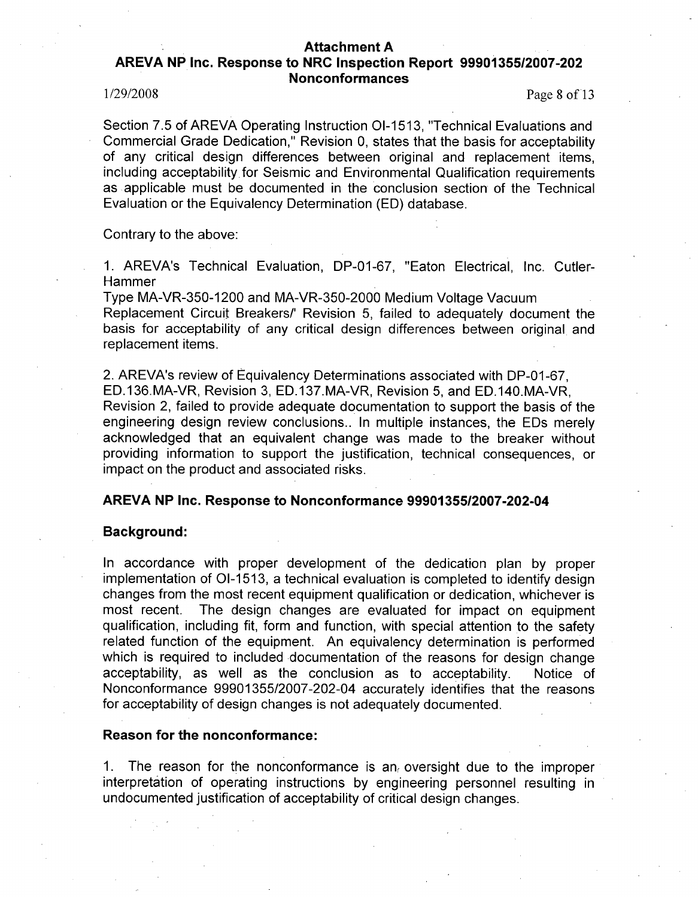# AREVA **NP** Inc. Response to NRC Inspection Report **99901355/2007-202** Nonconformances

1/29/2008 Page 8 of 13

Section 7.5 of AREVA Operating Instruction 01-1513, "Technical Evaluations and Commercial Grade Dedication," Revision 0, states that the basis for acceptability of any critical design differences between original and replacement items, including acceptability for Seismic and Environmental Qualification requirements as applicable must be documented in the conclusion section of the Technical Evaluation or the Equivalency Determination (ED) database.

Contrary to the above:

1. AREVA's Technical Evaluation, DP-01-67, "Eaton Electrical, Inc. Cutler-Hammer

Type MA-VR-350-1200 and MA-VR-350-2000 Medium Voltage Vacuum Replacement Circuit Breakers/' Revision 5, failed to adequately document the basis for acceptability of any critical design differences between original and replacement items.

2. AREVA's review of Equivalency Determinations associated with DP-01-67, ED.136.MA-VR, Revision 3, ED.137.MA-VR, Revision 5, and ED.140.MA-VR, Revision 2, failed to provide adequate documentation to support the basis of the engineering design review conclusions.. In multiple instances, the EDs merely acknowledged that an equivalent change was made to the breaker without providing information to support the justification, technical consequences, or impact on the product and associated risks.

### AREVA **NP** Inc. Response to Nonconformance **9990135512007-202-04**

### Background:

In accordance with proper development of the dedication plan by proper implementation of 01-1513, a technical evaluation is completed to identify design changes from the most recent equipment qualification or dedication, whichever is most recent. The design changes are evaluated for impact on equipment qualification, including fit, form and function, with special attention to the safety related function of the equipment. An equivalency determination is performed which is required to included documentation of the reasons for design change acceptability, as well as the conclusion as to acceptability. Notice of Nonconformance 99901355/2007-202-04 accurately identifies that the reasons for acceptability of design changes is not adequately documented.

### Reason for the nonconformance:

1. The reason for the nonconformance is an oversight due to the improper interpretation of operating instructions by engineering personnel resulting in undocumented justification of acceptability of critical design changes.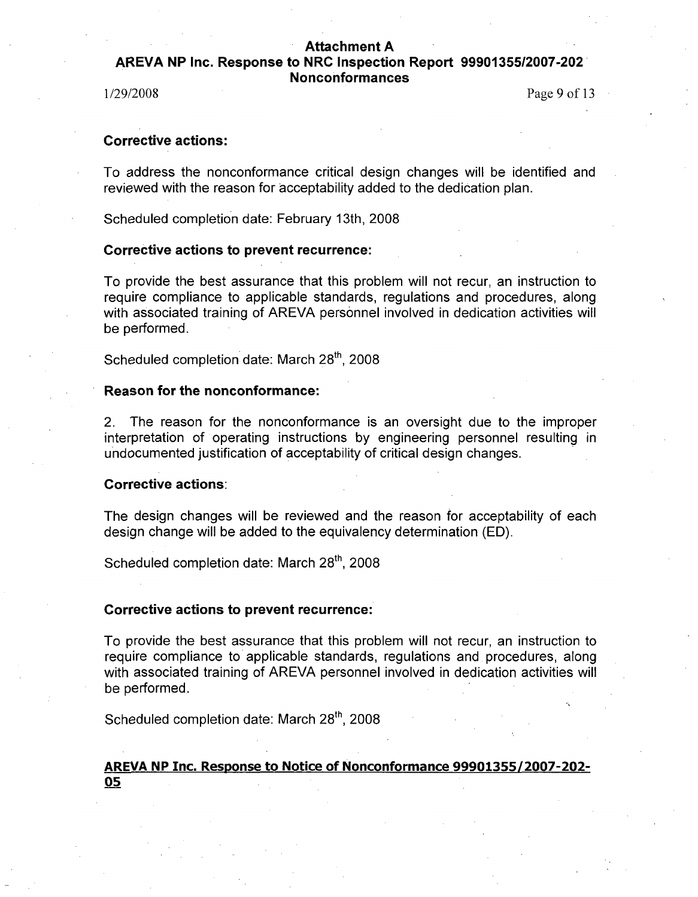AREVA **NP** Inc. Response to NRC Inspection Report **99901355/2007-202** Nonconformances

1/29/2008 Page **9** of **13**

# Corrective actions:

To address the nonconformance critical design changes will be identified and reviewed with the reason for acceptability added to the dedication plan.

Scheduled completion date: February 13th, 2008

# Corrective actions to prevent recurrence:

To provide the best assurance that this problem will not recur, an instruction to require compliance to applicable standards, regulations and procedures, along with associated training of AREVA personnel involved in dedication activities will be performed.

Scheduled completion date: March 28<sup>th</sup>, 2008

# Reason for the nonconformance:

2. The reason for the nonconformance is an oversight due to the improper interpretation of operating instructions by engineering personnel resulting in undocumented justification of acceptability of critical design changes.

# Corrective actions:

The design changes will be reviewed and the reason for acceptability of each design change will be added to the equivalency determination (ED).

Scheduled completion date: March 28<sup>th</sup>, 2008

## Corrective actions to prevent recurrence:

To provide the best assurance that this problem will not recur, an instruction to require compliance to applicable standards, regulations and procedures, along with associated training of AREVA personnel involved in dedication activities will be performed.

Scheduled completion date: March 28<sup>th</sup>, 2008

# AREVA **NP** Inc. Response to Notice of Nonconformance **99901355/2007-202- 05**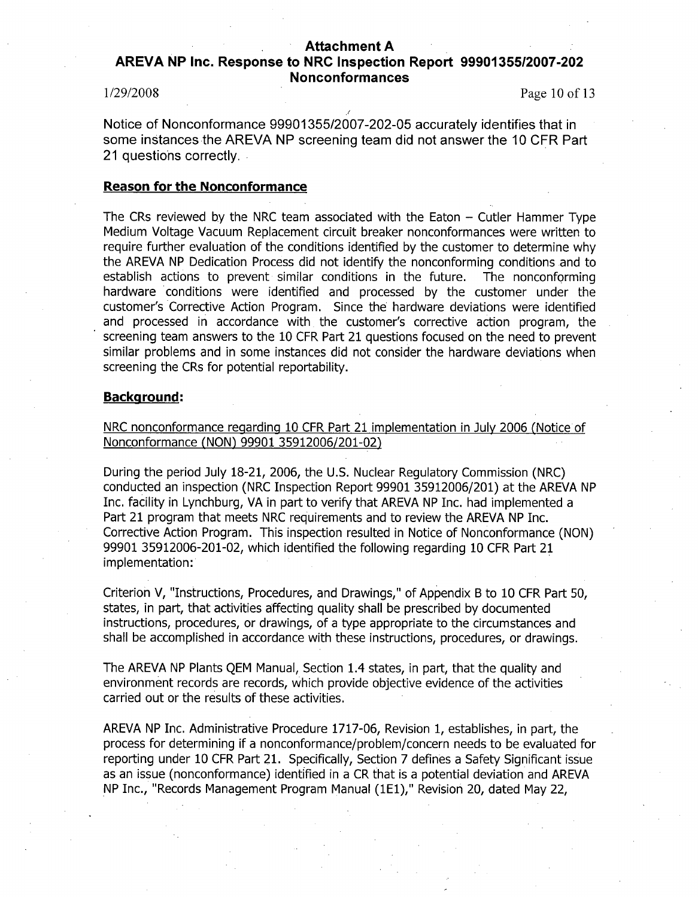# AREVA **NP** Inc. Response to NRC Inspection Report **9990135512007-202** Nonconformances

1/29/2008 Page 10 of 13

Notice of Nonconformance 99901355/2007-202-05 accurately identifies that in some instances the AREVA NP screening team did not answer the 10 CFR Part 21 questions correctly.

## Reason for the Nonconformance

The CRs reviewed by the NRC team associated with the Eaton  $-$  Cutler Hammer Type Medium Voltage Vacuum Replacement circuit breaker nonconformances were written to require further evaluation of the conditions identified by the customer to determine why the AREVA NP Dedication Process did not identify the nonconforming conditions and to establish actions to prevent similar conditions in the future. The nonconforming hardware conditions were identified and processed by the customer under the customer's Corrective Action Program. Since the hardware deviations were identified and processed in accordance with the customer's corrective action program, the screening team answers to the 10 CFR Part 21 questions focused on the need to prevent similar problems and in some instances did not consider the hardware deviations when screening the CRs for potential reportability.

# Background:

NRC nonconformance regarding 10 CFR Part 21 implementation in July 2006 (Notice of Nonconformance (NON) 99901 35912006/201-02)

During the period July 18-21, 2006, the U.S. Nuclear Regulatory Commission (NRC) conducted an inspection (NRC Inspection Report 99901 35912006/201) at the AREVA NP Inc. facility in Lynchburg, VA in part to verify that AREVA NP Inc. had implemented a Part 21 program that meets NRC requirements and to review the AREVA NP Inc. Corrective Action Program. This inspection resulted in Notice of Nonconformance (NON) 99901 35912006-201-02, which identified the following regarding 10 CFR Part 21 implementation:

Criterion V, "Instructions, Procedures, and Drawings," of Appendix B to 10 CFR Part 50, states, in part, that activities affecting quality shall be prescribed by documented instructions, procedures, or drawings, of a type appropriate to the circumstances and shall be accomplished in accordance with these instructions, procedures, or drawings.

The AREVA NP Plants QEM Manual, Section 1.4 states, in part, that the quality and environment records are records, which provide objective evidence of the activities carried out or the results of these activities.

AREVA NP Inc. Administrative Procedure 1717-06, Revision 1, establishes, in part, the process for determining if a nonconformance/problem/concern needs to be evaluated for reporting under 10 CFR Part 21. Specifically, Section 7 defines a Safety Significant issue as an issue (nonconformance) identified in a CR that is a potential deviation and AREVA NP Inc., "Records Management Program Manual (lE1)," Revision 20, dated May 22,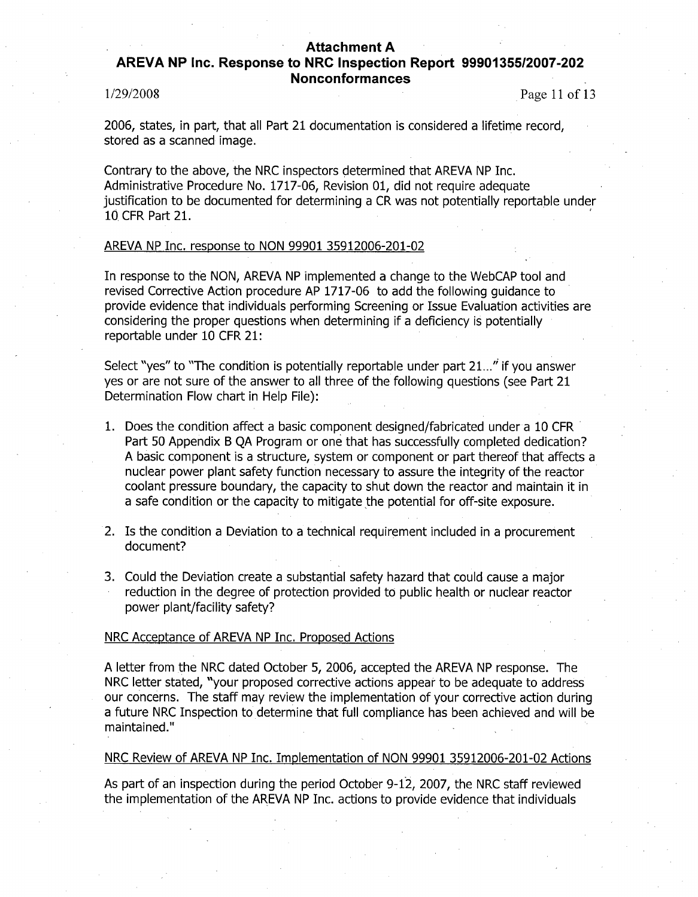# AREVA **NP** Inc. Response to NRC Inspection Report **99901355/2007-202** Nonconformances

 $1/29/2008$  Page 11 of 13

2006, states, in part, that all Part 21 documentation is considered a lifetime record, stored as a scanned image.

Contrary to the above, the NRC inspectors determined that AREVA NP Inc. Administrative Procedure No. 1717-06, Revision 01, did not require adequate justification to be documented for determining a CR was not potentially reportable under 10 CFR Part 21.

### AREVA NP Inc. response to NON 99901 35912006-201-02

In response to the NON, AREVA NP implemented a change to the WebCAP tool and revised Corrective Action procedure AP 1717-06 to add the following guidance to provide evidence that individuals performing Screening or Issue Evaluation activities are considering the proper questions when determining if a deficiency is potentially reportable under 10 CFR 21:

Select "yes" to "The condition is potentially reportable under part 21..." if you answer yes or are not sure of the answer to all three of the following questions (see Part 21 Determination Flow chart in Help File):

- 1. Does the condition affect a basic component designed/fabricated under a 10 CFR Part 50 Appendix B QA Program or one that has successfully completed dedication? A basic component is a structure, system or component or part thereof that affects a nuclear power plant safety function necessary to assure the integrity of the reactor coolant pressure boundary, the capacity to shut down the reactor and maintain it in a safe condition or the capacity to mitigate the potential for off-site exposure.
- 2. Is the condition a Deviation to a technical requirement included in a procurement document?
- 3. Could the Deviation create a substantial safety hazard that could cause a major reduction in the degree of protection provided to public health or nuclear reactor power plant/facility safety?

#### NRC Acceptance of AREVA NP Inc. Proposed Actions

A letter from the NRC dated October 5, 2006, accepted the AREVA NP response. The NRC letter stated, "your proposed corrective actions appear to be adequate to address our concerns. The staff may review the implementation of your corrective action during a future NRC Inspection to determine that full compliance has been achieved and will be maintained."

### NRC Review of AREVA NP Inc. Implementation of NON 99901 35912006-201-02 Actions

As part of an inspection during the period October 9-12, 2007, the NRC staff reviewed the implementation of the AREVA NP Inc. actions to provide evidence that individuals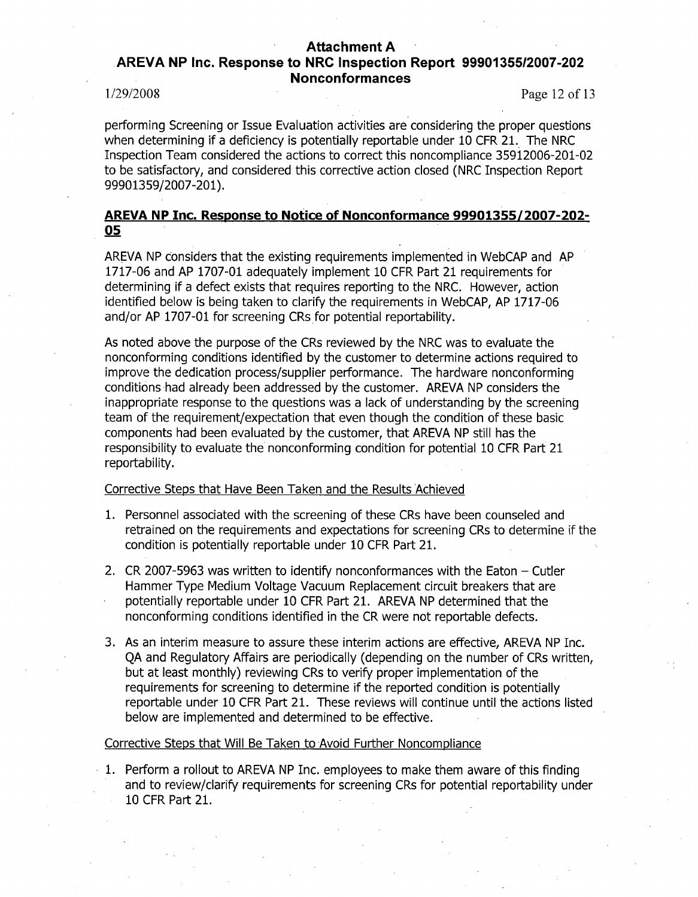# Attachment **A** .AREVA **NP** Inc. Response to NRC Inspection Report **99901355/2007-202** Nonconformances

1/29/2008 Page 12 of 13

performing Screening or Issue Evaluation activities are considering the proper questions when determining if a deficiency is potentially reportable under 10 CFR 21. The NRC Inspection Team considered the actions to correct this noncompliance 35912006-201-02 to be satisfactory, and considered this corrective action closed (NRC Inspection Report 99901359/2007-201).

# AREVA **NP** Inc. Response to Notice of Nonconformance **99901355/2007-202- 05**

AREVA NP Considers that the existing requirements implemented in WebCAP and AP 1717-06 and AP 1707-01 adequately implement 10 CFR Part 21 requirements for determining if a defect exists that requires reporting to the NRC. However, action identified below is being taken to clarify the requirements in WebCAP, AP 1717-06 and/or AP 1707-01 for screening CRs for potential reportability.

As noted above the purpose of the CRs reviewed by the NRC was to evaluate the nonconforming conditions identified by the customer to determine actions required to improve the dedication process/supplier performance. The hardware nonconforming conditions had already been addressed by the customer. AREVA NP considers the inappropriate response to the questions was a lack of understanding by the screening team of the requirement/expectation that even though the condition of these basic components had been evaluated by the customer, that AREVA NP still has the responsibility to evaluate the nonconforming condition for potential 10 CFR Part 21 reportability.

## Corrective Steps that Have Been Taken and the Results Achieved

- 1. Personnel associated with the screening of these CRs have been counseled and retrained on the requirements and expectations for screening CRs to determine if the condition is potentially reportable under 10 CFR Part 21.
- 2. CR 2007-5963 was written to identify nonconformances with the Eaton  $-$  Cutler Hammer Type Medium Voltage Vacuum Replacement circuit breakers that are potentially reportable under 10 CFR Part 21. AREVA NP determined that the nonconforming conditions identified in the CR were not reportable defects.
- 3. As an interim measure to assure these interim actions are effective, AREVA NP Inc. QA and Regulatory Affairs are periodically (depending on the number of CRs written, but at least monthly) reviewing CRs to verify proper implementation of the requirements for screening to determine if the reported condition is potentially reportable under 10 CFR Part 21. These reviews will continue until the actions listed below are implemented and determined to be effective.

# Corrective Steps that Will Be Taken to Avoid Further Noncompliance

1. Perform a rollout to AREVA NP Inc. employees to make them aware of this finding and to review/clarify requirements for screening CRs for potential reportability under 10 CFR Part 21.